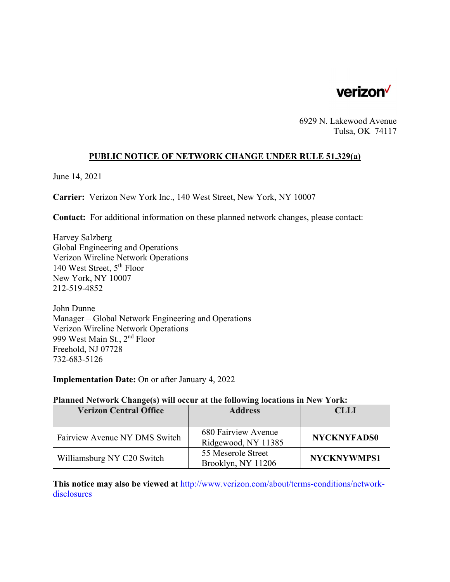

6929 N. Lakewood Avenue Tulsa, OK 74117

## **PUBLIC NOTICE OF NETWORK CHANGE UNDER RULE 51.329(a)**

June 14, 2021

**Carrier:** Verizon New York Inc., 140 West Street, New York, NY 10007

**Contact:** For additional information on these planned network changes, please contact:

Harvey Salzberg Global Engineering and Operations Verizon Wireline Network Operations 140 West Street, 5th Floor New York, NY 10007 212-519-4852

John Dunne Manager – Global Network Engineering and Operations Verizon Wireline Network Operations 999 West Main St., 2nd Floor Freehold, NJ 07728 732-683-5126

**Implementation Date:** On or after January 4, 2022

#### **Planned Network Change(s) will occur at the following locations in New York:**

| <b>Verizon Central Office</b> | <b>Address</b>                             | <b>CLLI</b>        |
|-------------------------------|--------------------------------------------|--------------------|
|                               |                                            |                    |
| Fairview Avenue NY DMS Switch | 680 Fairview Avenue<br>Ridgewood, NY 11385 | <b>NYCKNYFADS0</b> |
| Williamsburg NY C20 Switch    | 55 Meserole Street<br>Brooklyn, NY 11206   | <b>NYCKNYWMPS1</b> |

**This notice may also be viewed at** http://www.verizon.com/about/terms-conditions/networkdisclosures